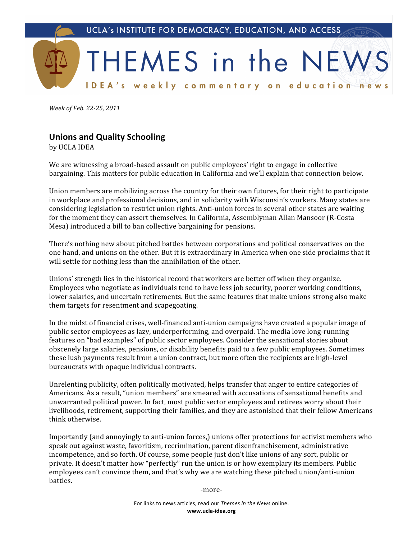

*Week
of
Feb.
2225,
2011*

## **Unions
and
Quality
Schooling**

by
UCLA
IDEA

We are witnessing a broad-based assault on public employees' right to engage in collective bargaining.
This
matters
for
public
education
in
California
and
we'll
explain
that
connection
below.

Union members are mobilizing across the country for their own futures, for their right to participate in
workplace
and
professional
decisions,
and
in
solidarity
with
Wisconsin's
workers.
Many
states
are considering legislation to restrict union rights. Anti-union forces in several other states are waiting for
the
moment
they
can
assert
themselves.
In
California,
Assemblyman
Allan
Mansoor
(R‐Costa Mesa)
introduced
a
bill
to
ban
collective
bargaining
for
pensions.

There's
nothing
new
about
pitched
battles
between
corporations
and
political
conservatives
on
the one
hand,
and
unions
on
the
other.
But
it
is
extraordinary
in
America
when
one
side
proclaims
that
it will
settle
for
nothing
less
than
the
annihilation
of
the
other.

Unions' strength lies in the historical record that workers are better off when they organize. Employees
who
negotiate
as
individuals
tend
to
have
less
job
security,
poorer
working
conditions, lower salaries, and uncertain retirements. But the same features that make unions strong also make them
targets
for
resentment
and
scapegoating.

In the midst of financial crises, well-financed anti-union campaigns have created a popular image of public
sector
employees
as
lazy,
underperforming,
and
overpaid.
The
media
love
long‐running features on "bad examples" of public sector employees. Consider the sensational stories about obscenely
large
salaries,
pensions,
or
disability
benefits
paid
to
a
few
public
employees.
Sometimes these
lush
payments
result
from
a
union
contract,
but
more
often
the
recipients
are
high‐level bureaucrats
with
opaque
individual
contracts.

Unrelenting publicity, often politically motivated, helps transfer that anger to entire categories of Americans. As a result, "union members" are smeared with accusations of sensational benefits and unwarranted
political
power.
In
fact,
most
public
sector
employees
and
retirees
worry
about
their livelihoods, retirement, supporting their families, and they are astonished that their fellow Americans think
otherwise.

Importantly (and annoyingly to anti-union forces,) unions offer protections for activist members who speak
out
against
waste,
favoritism,
recrimination,
parent
disenfranchisement,
administrative incompetence,
and
so
forth.
Of
course,
some
people
just
don't
like
unions
of
any
sort,
public
or private.
It
doesn't
matter
how
"perfectly"
run
the
union
is
or
how
exemplary
its
members.
Public employees can't convince them, and that's why we are watching these pitched union/anti-union battles.

‐more‐